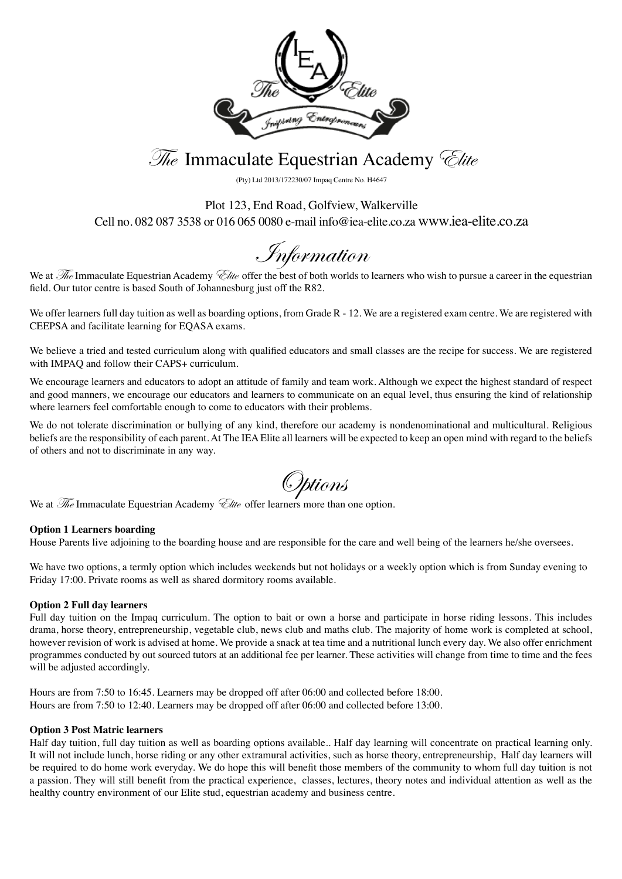

# The Immaculate Equestrian Academy *Clite*

(Pty) Ltd 2013/172230/07 Impaq Centre No. H4647

### Plot 123, End Road, Golfview, Walkerville Cell no. 082 087 3538 or 016 065 0080 e-mail info@iea-elite.co.za www.iea-elite.co.za

Information

We at  $\mathcal{R}_e$  Immaculate Equestrian Academy *Clite* offer the best of both worlds to learners who wish to pursue a career in the equestrian field. Our tutor centre is based South of Johannesburg just off the R82.

We offer learners full day tuition as well as boarding options, from Grade R - 12. We are a registered exam centre. We are registered with CEEPSA and facilitate learning for EQASA exams.

We believe a tried and tested curriculum along with qualified educators and small classes are the recipe for success. We are registered with IMPAQ and follow their CAPS+ curriculum.

We encourage learners and educators to adopt an attitude of family and team work. Although we expect the highest standard of respect and good manners, we encourage our educators and learners to communicate on an equal level, thus ensuring the kind of relationship where learners feel comfortable enough to come to educators with their problems.

We do not tolerate discrimination or bullying of any kind, therefore our academy is nondenominational and multicultural. Religious beliefs are the responsibility of each parent. At The IEA Elite all learners will be expected to keep an open mind with regard to the beliefs of others and not to discriminate in any way.

Options

We at  $\mathcal{R}_{e}$  Immaculate Equestrian Academy *Clite* offer learners more than one option.

#### **Option 1 Learners boarding**

House Parents live adjoining to the boarding house and are responsible for the care and well being of the learners he/she oversees.

We have two options, a termly option which includes weekends but not holidays or a weekly option which is from Sunday evening to Friday 17:00. Private rooms as well as shared dormitory rooms available.

#### **Option 2 Full day learners**

Full day tuition on the Impaq curriculum. The option to bait or own a horse and participate in horse riding lessons. This includes drama, horse theory, entrepreneurship, vegetable club, news club and maths club. The majority of home work is completed at school, however revision of work is advised at home. We provide a snack at tea time and a nutritional lunch every day. We also offer enrichment programmes conducted by out sourced tutors at an additional fee per learner. These activities will change from time to time and the fees will be adjusted accordingly.

Hours are from 7:50 to 16:45. Learners may be dropped off after 06:00 and collected before 18:00. Hours are from 7:50 to 12:40. Learners may be dropped off after 06:00 and collected before 13:00.

#### **Option 3 Post Matric learners**

Half day tuition, full day tuition as well as boarding options available.. Half day learning will concentrate on practical learning only. It will not include lunch, horse riding or any other extramural activities, such as horse theory, entrepreneurship, Half day learners will be required to do home work everyday. We do hope this will benefit those members of the community to whom full day tuition is not a passion. They will still benefit from the practical experience, classes, lectures, theory notes and individual attention as well as the healthy country environment of our Elite stud, equestrian academy and business centre.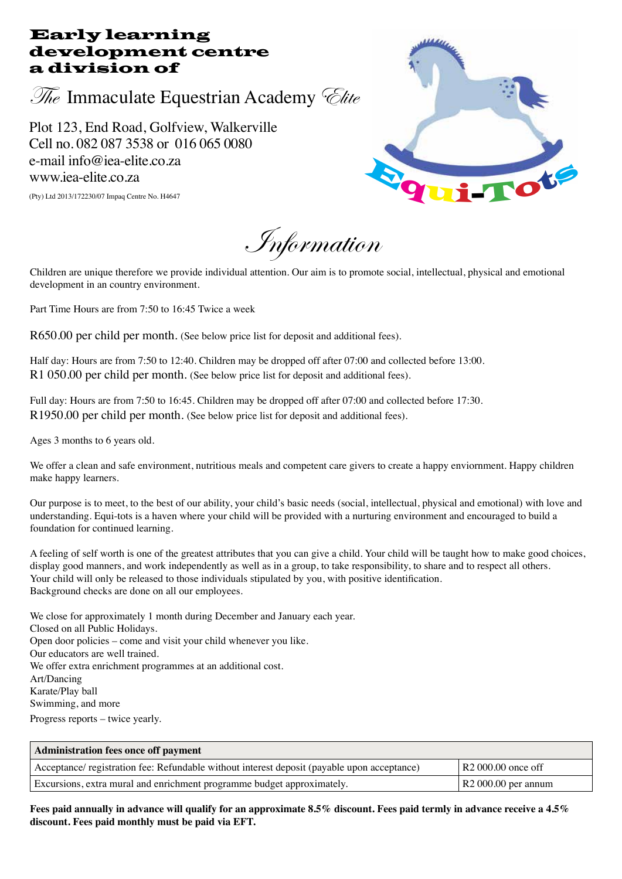## Early learning development centre a division of

The Immaculate Equestrian Academy *Clite* 

Plot 123, End Road, Golfview, Walkerville Cell no. 082 087 3538 or 016 065 0080 e-mail info@iea-elite.co.za www.iea-elite.co.za

(Pty) Ltd 2013/172230/07 Impaq Centre No. H4647



Information

Children are unique therefore we provide individual attention. Our aim is to promote social, intellectual, physical and emotional development in an country environment.

Part Time Hours are from 7:50 to 16:45 Twice a week

R650.00 per child per month. (See below price list for deposit and additional fees).

Half day: Hours are from 7:50 to 12:40. Children may be dropped off after 07:00 and collected before 13:00. R1 050.00 per child per month. (See below price list for deposit and additional fees).

Full day: Hours are from 7:50 to 16:45. Children may be dropped off after 07:00 and collected before 17:30. R1950.00 per child per month. (See below price list for deposit and additional fees).

Ages 3 months to 6 years old.

We offer a clean and safe environment, nutritious meals and competent care givers to create a happy enviornment. Happy children make happy learners.

Our purpose is to meet, to the best of our ability, your child's basic needs (social, intellectual, physical and emotional) with love and understanding. Equi-tots is a haven where your child will be provided with a nurturing environment and encouraged to build a foundation for continued learning.

A feeling of self worth is one of the greatest attributes that you can give a child. Your child will be taught how to make good choices, display good manners, and work independently as well as in a group, to take responsibility, to share and to respect all others. Your child will only be released to those individuals stipulated by you, with positive identification. Background checks are done on all our employees.

We close for approximately 1 month during December and January each year. Closed on all Public Holidays. Open door policies – come and visit your child whenever you like. Our educators are well trained. We offer extra enrichment programmes at an additional cost. Art/Dancing Karate/Play ball Swimming, and more

Progress reports – twice yearly.

| Administration fees once off payment                                                        |                             |
|---------------------------------------------------------------------------------------------|-----------------------------|
| Acceptance/ registration fee: Refundable without interest deposit (payable upon acceptance) | $\vert$ R2 000.00 once off  |
| Excursions, extra mural and enrichment programme budget approximately.                      | $\vert$ R2 000.00 per annum |

**Fees paid annually in advance will qualify for an approximate 8.5% discount. Fees paid termly in advance receive a 4.5% discount. Fees paid monthly must be paid via EFT.**